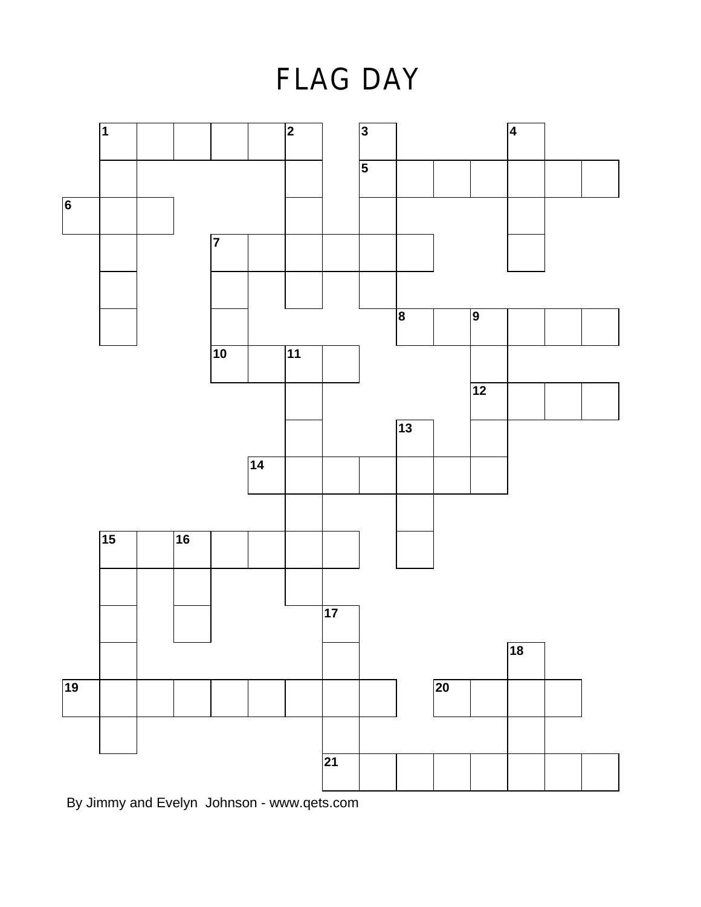**FLAG DAY** 



By Jimmy and Evelyn Johnson - www.qets.com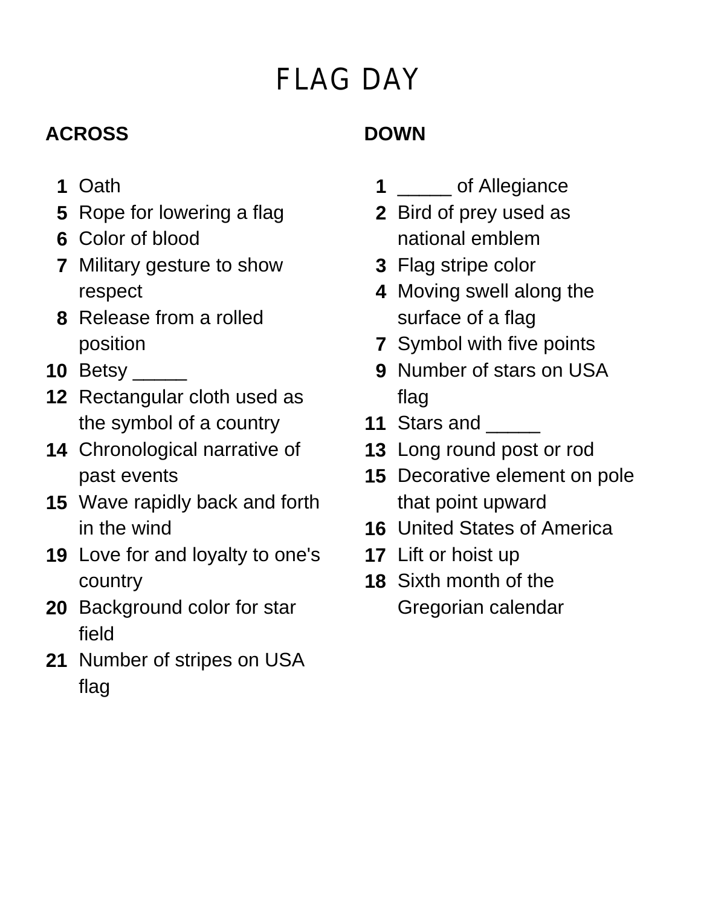# **FLAG DAY**

### **ACROSS**

#### **DOWN**

- **1** Oath
- **5** Rope for lowering a flag
- **6** Color of blood
- **7** Military gesture to show respect
- **8** Release from a rolled position
- **10** Betsy \_\_\_\_\_
- **12** Rectangular cloth used as the symbol of a country
- **14** Chronological narrative of past events
- **15** Wave rapidly back and forth in the wind
- **19** Love for and loyalty to one's country
- **20** Background color for star field
- **21** Number of stripes on USA flag
- **1** \_\_\_\_\_ of Allegiance
- **2** Bird of prey used as national emblem
- **3** Flag stripe color
- **4** Moving swell along the surface of a flag
- **7** Symbol with five points
- **9** Number of stars on USA flag
- **11 Stars and**
- **13** Long round post or rod
- **15** Decorative element on pole that point upward
- **16** United States of America
- **17** Lift or hoist up
- **18** Sixth month of the Gregorian calendar